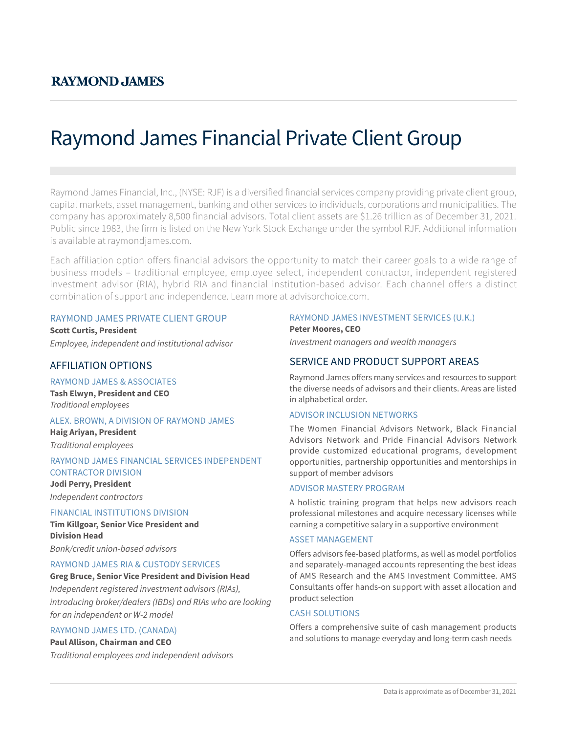# Raymond James Financial Private Client Group

Raymond James Financial, Inc., (NYSE: RJF) is a diversified financial services company providing private client group, capital markets, asset management, banking and other services to individuals, corporations and municipalities. The company has approximately 8,500 financial advisors. Total client assets are \$1.26 trillion as of December 31, 2021. Public since 1983, the firm is listed on the New York Stock Exchange under the symbol RJF. Additional information is available at raymondjames.com.

Each affiliation option offers financial advisors the opportunity to match their career goals to a wide range of business models – traditional employee, employee select, independent contractor, independent registered investment advisor (RIA), hybrid RIA and financial institution-based advisor. Each channel offers a distinct combination of support and independence. Learn more at advisorchoice.com.

## RAYMOND JAMES PRIVATE CLIENT GROUP

**Scott Curtis, President** *Employee, independent and institutional advisor*

# AFFILIATION OPTIONS

#### RAYMOND JAMES & ASSOCIATES

**Tash Elwyn, President and CEO** *Traditional employees*

#### ALEX. BROWN, A DIVISION OF RAYMOND JAMES

**Haig Ariyan, President** *Traditional employees*

#### RAYMOND JAMES FINANCIAL SERVICES INDEPENDENT CONTRACTOR DIVISION

**Jodi Perry, President** *Independent contractors*

#### FINANCIAL INSTITUTIONS DIVISION

**Tim Killgoar, Senior Vice President and Division Head**

*Bank/credit union-based advisors*

# RAYMOND JAMES RIA & CUSTODY SERVICES

**Greg Bruce, Senior Vice President and Division Head** *Independent registered investment advisors (RIAs), introducing broker/dealers (IBDs) and RIAs who are looking for an independent or W-2 model*

#### RAYMOND JAMES LTD. (CANADA)

#### **Paul Allison, Chairman and CEO**

*Traditional employees and independent advisors*

# RAYMOND JAMES INVESTMENT SERVICES (U.K.)

**Peter Moores, CEO** *Investment managers and wealth managers*

# SERVICE AND PRODUCT SUPPORT AREAS

Raymond James offers many services and resources to support the diverse needs of advisors and their clients. Areas are listed in alphabetical order.

# ADVISOR INCLUSION NETWORKS

The Women Financial Advisors Network, Black Financial Advisors Network and Pride Financial Advisors Network provide customized educational programs, development opportunities, partnership opportunities and mentorships in support of member advisors

#### ADVISOR MASTERY PROGRAM

A holistic training program that helps new advisors reach professional milestones and acquire necessary licenses while earning a competitive salary in a supportive environment

#### ASSET MANAGEMENT

Offers advisors fee-based platforms, as well as model portfolios and separately-managed accounts representing the best ideas of AMS Research and the AMS Investment Committee. AMS Consultants offer hands-on support with asset allocation and product selection

# CASH SOLUTIONS

Offers a comprehensive suite of cash management products and solutions to manage everyday and long-term cash needs